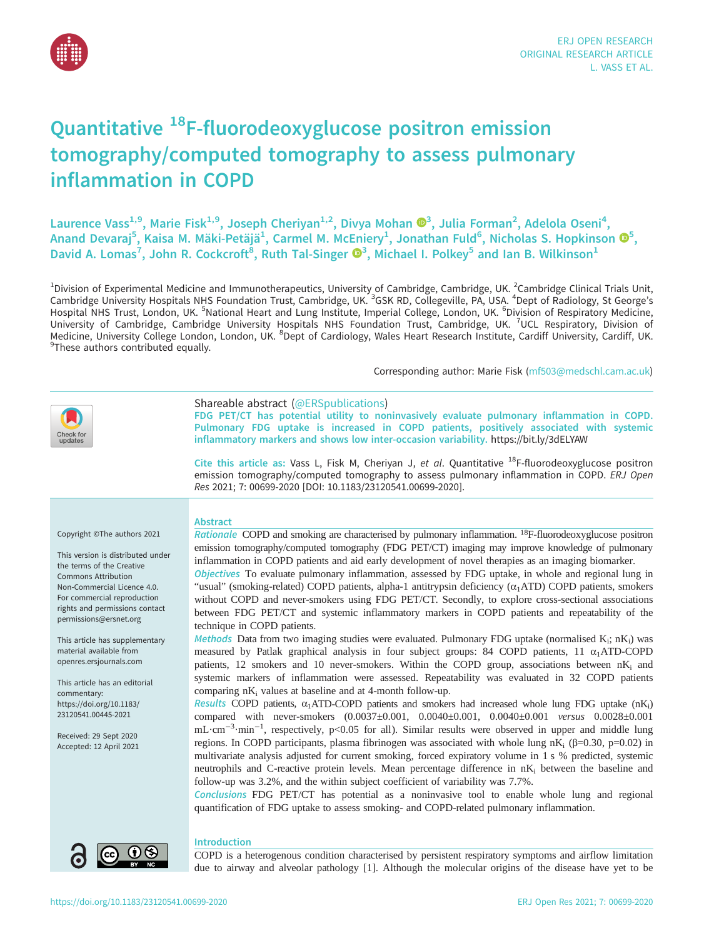

# Quantitative 18F-fluorodeoxyglucose positron emission tomography/computed tomography to assess pulmonary inflammation in COPD

Laurence Vass<sup>1,9</sup>, Marie Fisk<sup>1,9</sup>, Joseph Cheriyan<sup>1,2</sup>, Divya Mohan ®<sup>[3](https://orcid.org/0000-0001-9153-2683)</sup>, Julia Forman<sup>2</sup>, Adelola Oseni<sup>4</sup>, Anand Devaraj<sup>5</sup>, Kaisa M. Mäki-Petäjä<sup>1</sup>, Carmel M. McEniery<sup>1</sup>, Jonathan Fuld<sup>6</sup>, Nicholas S. Hopkinson  $\mathbf{\Phi}^5$ , David A. Lomas<sup>7</sup>, John R. Cockcroft<sup>8</sup>, Ruth Tal-Singer  $\mathbf{O}^3$ , Michael I. Polkey<sup>5</sup> and Ian B. Wilkinson<sup>1</sup>

<sup>1</sup>Division of Experimental Medicine and Immunotherapeutics, University of Cambridge, Cambridge, UK. <sup>2</sup>Cambridge Clinical Trials Unit,<br>Cambridge University Hospitals NHS Foundation Trust, Cambridge, UK. <sup>3</sup>GSK RD, College Hospital NHS Trust, London, UK. <sup>5</sup>National Heart and Lung Institute, Imperial College, London, UK. <sup>6</sup>Division of Respiratory Medicine, University of Cambridge, Cambridge University Hospitals NHS Foundation Trust, Cambridge, UK. <sup>7</sup>UCL Respiratory, Division of Medicine, University College London, London, UK. <sup>8</sup>Dept of Cardiology, Wales Heart Research Institute, Cardiff University, Cardiff, UK.<br><sup>9</sup>These authors contributed equally <sup>9</sup>These authors contributed equally.

Corresponding author: Marie Fisk ([mf503@medschl.cam.ac.uk](mailto:mf503@medschl.cam.ac.uk))



Conclusions FDG PET/CT has potential as a noninvasive tool to enable whole lung and regional quantification of FDG uptake to assess smoking- and COPD-related pulmonary inflammation.



## Introduction

COPD is a heterogenous condition characterised by persistent respiratory symptoms and airflow limitation due to airway and alveolar pathology [[1](#page-10-0)]. Although the molecular origins of the disease have yet to be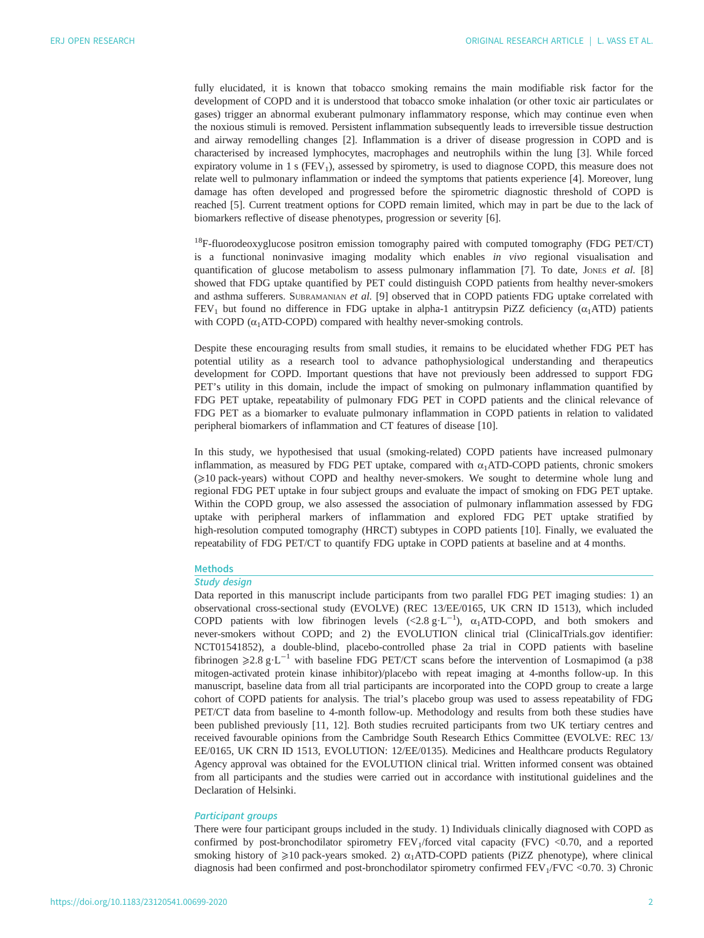fully elucidated, it is known that tobacco smoking remains the main modifiable risk factor for the development of COPD and it is understood that tobacco smoke inhalation (or other toxic air particulates or gases) trigger an abnormal exuberant pulmonary inflammatory response, which may continue even when the noxious stimuli is removed. Persistent inflammation subsequently leads to irreversible tissue destruction and airway remodelling changes [[2](#page-10-0)]. Inflammation is a driver of disease progression in COPD and is characterised by increased lymphocytes, macrophages and neutrophils within the lung [\[3\]](#page-10-0). While forced expiratory volume in  $1 s$  (FEV<sub>1</sub>), assessed by spirometry, is used to diagnose COPD, this measure does not relate well to pulmonary inflammation or indeed the symptoms that patients experience [[4](#page-10-0)]. Moreover, lung damage has often developed and progressed before the spirometric diagnostic threshold of COPD is reached [[5](#page-10-0)]. Current treatment options for COPD remain limited, which may in part be due to the lack of biomarkers reflective of disease phenotypes, progression or severity [\[6\]](#page-11-0).

 $18F$ -fluorodeoxyglucose positron emission tomography paired with computed tomography (FDG PET/CT) is a functional noninvasive imaging modality which enables in vivo regional visualisation and quantification of glucose metabolism to assess pulmonary inflammation  $[7]$  $[7]$  $[7]$ . To date, Jones et al.  $[8]$ showed that FDG uptake quantified by PET could distinguish COPD patients from healthy never-smokers and asthma sufferers. SUBRAMANIAN et al. [\[9\]](#page-11-0) observed that in COPD patients FDG uptake correlated with FEV<sub>1</sub> but found no difference in FDG uptake in alpha-1 antitrypsin PiZZ deficiency ( $\alpha_1$ ATD) patients with COPD  $(\alpha_1ATD-COPD)$  compared with healthy never-smoking controls.

Despite these encouraging results from small studies, it remains to be elucidated whether FDG PET has potential utility as a research tool to advance pathophysiological understanding and therapeutics development for COPD. Important questions that have not previously been addressed to support FDG PET's utility in this domain, include the impact of smoking on pulmonary inflammation quantified by FDG PET uptake, repeatability of pulmonary FDG PET in COPD patients and the clinical relevance of FDG PET as a biomarker to evaluate pulmonary inflammation in COPD patients in relation to validated peripheral biomarkers of inflammation and CT features of disease [\[10](#page-11-0)].

In this study, we hypothesised that usual (smoking-related) COPD patients have increased pulmonary inflammation, as measured by FDG PET uptake, compared with  $\alpha_1$ ATD-COPD patients, chronic smokers (≥10 pack-years) without COPD and healthy never-smokers. We sought to determine whole lung and regional FDG PET uptake in four subject groups and evaluate the impact of smoking on FDG PET uptake. Within the COPD group, we also assessed the association of pulmonary inflammation assessed by FDG uptake with peripheral markers of inflammation and explored FDG PET uptake stratified by high-resolution computed tomography (HRCT) subtypes in COPD patients [[10\]](#page-11-0). Finally, we evaluated the repeatability of FDG PET/CT to quantify FDG uptake in COPD patients at baseline and at 4 months.

# **Methods**

# Study design

Data reported in this manuscript include participants from two parallel FDG PET imaging studies: 1) an observational cross-sectional study (EVOLVE) (REC 13/EE/0165, UK CRN ID 1513), which included COPD patients with low fibrinogen levels (<2.8  $g \cdot L^{-1}$ ),  $\alpha_1$ ATD-COPD, and both smokers and never-smokers without COPD; and 2) the EVOLUTION clinical trial [\(ClinicalTrials.gov](https://clinicaltrials.gov/) identifier: NCT01541852), a double-blind, placebo-controlled phase 2a trial in COPD patients with baseline fibrinogen  $≥2.8 \text{ g} \cdot L^{-1}$  with baseline FDG PET/CT scans before the intervention of Losmapimod (a p38 mitogen-activated protein kinase inhibitor)/placebo with repeat imaging at 4-months follow-up. In this manuscript, baseline data from all trial participants are incorporated into the COPD group to create a large cohort of COPD patients for analysis. The trial's placebo group was used to assess repeatability of FDG PET/CT data from baseline to 4-month follow-up. Methodology and results from both these studies have been published previously [\[11](#page-11-0), [12\]](#page-11-0). Both studies recruited participants from two UK tertiary centres and received favourable opinions from the Cambridge South Research Ethics Committee (EVOLVE: REC 13/ EE/0165, UK CRN ID 1513, EVOLUTION: 12/EE/0135). Medicines and Healthcare products Regulatory Agency approval was obtained for the EVOLUTION clinical trial. Written informed consent was obtained from all participants and the studies were carried out in accordance with institutional guidelines and the Declaration of Helsinki.

## Participant groups

There were four participant groups included in the study. 1) Individuals clinically diagnosed with COPD as confirmed by post-bronchodilator spirometry  $FEV<sub>1</sub>/forced$  vital capacity (FVC) <0.70, and a reported smoking history of  $\geq 10$  pack-years smoked. 2)  $\alpha_1$ ATD-COPD patients (PiZZ phenotype), where clinical diagnosis had been confirmed and post-bronchodilator spirometry confirmed  $FEV<sub>1</sub>/FVC$  <0.70. 3) Chronic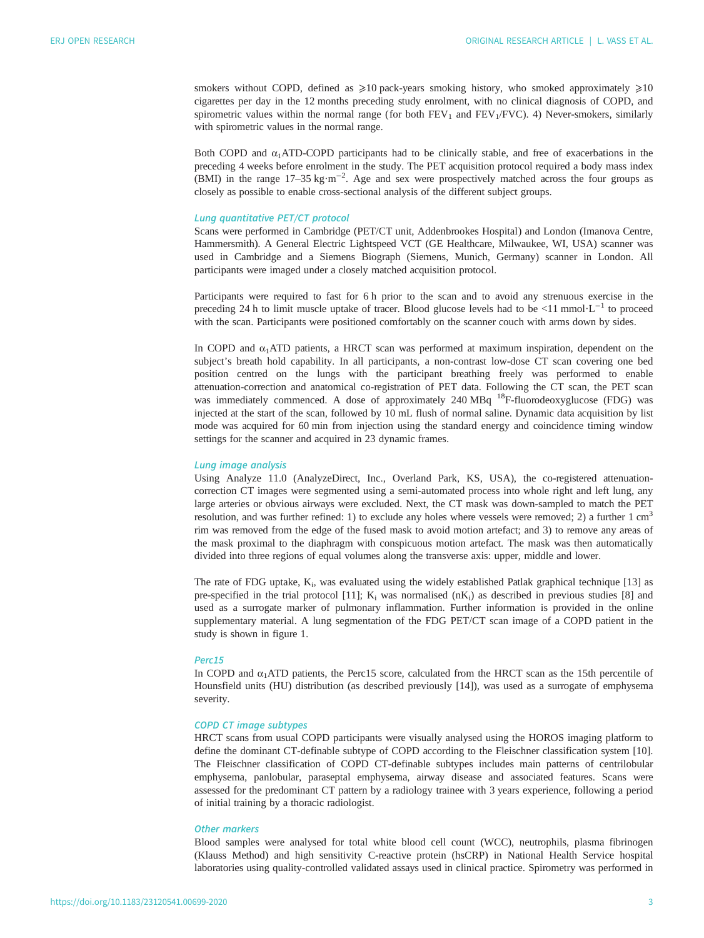smokers without COPD, defined as  $\geq 10$  pack-years smoking history, who smoked approximately  $\geq 10$ cigarettes per day in the 12 months preceding study enrolment, with no clinical diagnosis of COPD, and spirometric values within the normal range (for both  $FEV<sub>1</sub>$  and  $FEV<sub>1</sub>/FVC$ ). 4) Never-smokers, similarly with spirometric values in the normal range.

Both COPD and  $\alpha_1$ ATD-COPD participants had to be clinically stable, and free of exacerbations in the preceding 4 weeks before enrolment in the study. The PET acquisition protocol required a body mass index (BMI) in the range 17–35 kg·m<sup>-2</sup>. Age and sex were prospectively matched across the four groups as closely as possible to enable cross-sectional analysis of the different subject groups.

## Lung quantitative PET/CT protocol

Scans were performed in Cambridge (PET/CT unit, Addenbrookes Hospital) and London (Imanova Centre, Hammersmith). A General Electric Lightspeed VCT (GE Healthcare, Milwaukee, WI, USA) scanner was used in Cambridge and a Siemens Biograph (Siemens, Munich, Germany) scanner in London. All participants were imaged under a closely matched acquisition protocol.

Participants were required to fast for 6 h prior to the scan and to avoid any strenuous exercise in the preceding 24 h to limit muscle uptake of tracer. Blood glucose levels had to be <11 mmol·L<sup>−1</sup> to proceed with the scan. Participants were positioned comfortably on the scanner couch with arms down by sides.

In COPD and  $\alpha_1$ ATD patients, a HRCT scan was performed at maximum inspiration, dependent on the subject's breath hold capability. In all participants, a non-contrast low-dose CT scan covering one bed position centred on the lungs with the participant breathing freely was performed to enable attenuation-correction and anatomical co-registration of PET data. Following the CT scan, the PET scan was immediately commenced. A dose of approximately 240 MBq <sup>18</sup>F-fluorodeoxyglucose (FDG) was injected at the start of the scan, followed by 10 mL flush of normal saline. Dynamic data acquisition by list mode was acquired for 60 min from injection using the standard energy and coincidence timing window settings for the scanner and acquired in 23 dynamic frames.

## Lung image analysis

Using Analyze 11.0 (AnalyzeDirect, Inc., Overland Park, KS, USA), the co-registered attenuationcorrection CT images were segmented using a semi-automated process into whole right and left lung, any large arteries or obvious airways were excluded. Next, the CT mask was down-sampled to match the PET resolution, and was further refined: 1) to exclude any holes where vessels were removed; 2) a further 1  $cm<sup>3</sup>$ rim was removed from the edge of the fused mask to avoid motion artefact; and 3) to remove any areas of the mask proximal to the diaphragm with conspicuous motion artefact. The mask was then automatically divided into three regions of equal volumes along the transverse axis: upper, middle and lower.

The rate of FDG uptake,  $K_i$ , was evaluated using the widely established Patlak graphical technique [[13](#page-11-0)] as pre-specified in the trial protocol [[11\]](#page-11-0);  $K_i$  was normalised (n $K_i$ ) as described in previous studies [[8](#page-11-0)] and used as a surrogate marker of pulmonary inflammation. Further information is provided in the [online](http://openres.ersjournals.com/lookup/doi/10.1183/23120541.00699-2020.figures-only#fig-data-supplementary-materials) [supplementary material](http://openres.ersjournals.com/lookup/doi/10.1183/23120541.00699-2020.figures-only#fig-data-supplementary-materials). A lung segmentation of the FDG PET/CT scan image of a COPD patient in the study is shown in [figure 1.](#page-3-0)

#### Perc15

In COPD and  $\alpha_1$ ATD patients, the Perc15 score, calculated from the HRCT scan as the 15th percentile of Hounsfield units (HU) distribution (as described previously [[14\]](#page-11-0)), was used as a surrogate of emphysema severity.

## COPD CT image subtypes

HRCT scans from usual COPD participants were visually analysed using the HOROS imaging platform to define the dominant CT-definable subtype of COPD according to the Fleischner classification system [[10\]](#page-11-0). The Fleischner classification of COPD CT-definable subtypes includes main patterns of centrilobular emphysema, panlobular, paraseptal emphysema, airway disease and associated features. Scans were assessed for the predominant CT pattern by a radiology trainee with 3 years experience, following a period of initial training by a thoracic radiologist.

## Other markers

Blood samples were analysed for total white blood cell count (WCC), neutrophils, plasma fibrinogen (Klauss Method) and high sensitivity C-reactive protein (hsCRP) in National Health Service hospital laboratories using quality-controlled validated assays used in clinical practice. Spirometry was performed in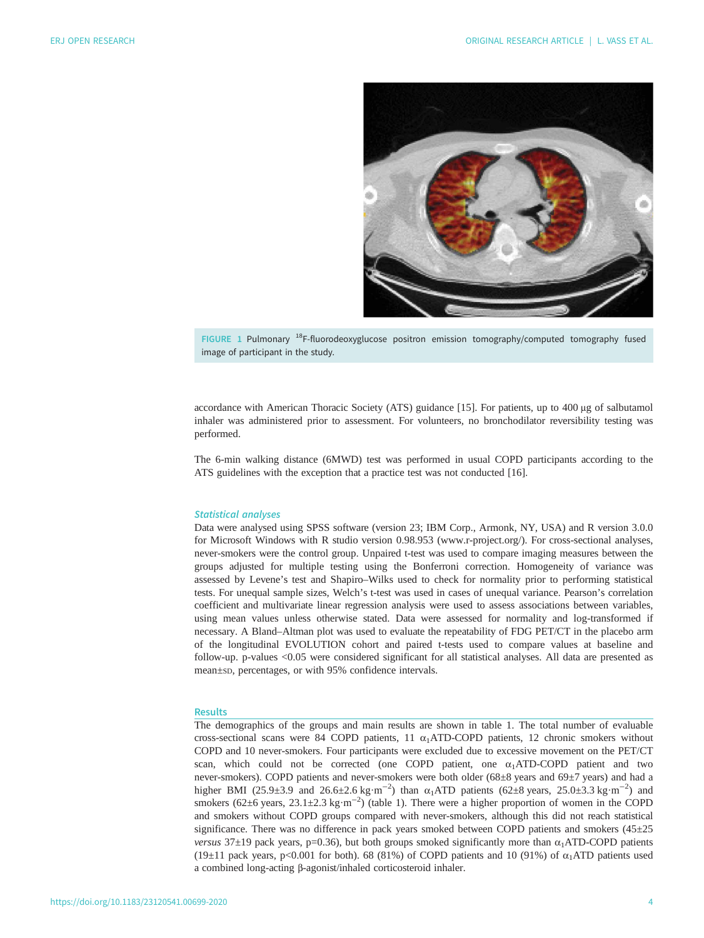<span id="page-3-0"></span>

FIGURE 1 Pulmonary <sup>18</sup>F-fluorodeoxyglucose positron emission tomography/computed tomography fused image of participant in the study.

accordance with American Thoracic Society (ATS) guidance [[15\]](#page-11-0). For patients, up to 400 μg of salbutamol inhaler was administered prior to assessment. For volunteers, no bronchodilator reversibility testing was performed.

The 6-min walking distance (6MWD) test was performed in usual COPD participants according to the ATS guidelines with the exception that a practice test was not conducted [[16\]](#page-11-0).

#### Statistical analyses

Data were analysed using SPSS software (version 23; IBM Corp., Armonk, NY, USA) and R version 3.0.0 for Microsoft Windows with R studio version 0.98.953 ([www.r-project.org/](http://www.r-project.org/)). For cross-sectional analyses, never-smokers were the control group. Unpaired t-test was used to compare imaging measures between the groups adjusted for multiple testing using the Bonferroni correction. Homogeneity of variance was assessed by Levene's test and Shapiro–Wilks used to check for normality prior to performing statistical tests. For unequal sample sizes, Welch's t-test was used in cases of unequal variance. Pearson's correlation coefficient and multivariate linear regression analysis were used to assess associations between variables, using mean values unless otherwise stated. Data were assessed for normality and log-transformed if necessary. A Bland–Altman plot was used to evaluate the repeatability of FDG PET/CT in the placebo arm of the longitudinal EVOLUTION cohort and paired t-tests used to compare values at baseline and follow-up. p-values <0.05 were considered significant for all statistical analyses. All data are presented as mean±sp, percentages, or with 95% confidence intervals.

## **Results**

The demographics of the groups and main results are shown in [table 1](#page-4-0). The total number of evaluable cross-sectional scans were 84 COPD patients, 11  $\alpha_1$ ATD-COPD patients, 12 chronic smokers without COPD and 10 never-smokers. Four participants were excluded due to excessive movement on the PET/CT scan, which could not be corrected (one COPD patient, one  $\alpha_1$ ATD-COPD patient and two never-smokers). COPD patients and never-smokers were both older (68±8 years and 69±7 years) and had a higher BMI (25.9±3.9 and 26.6±2.6 kg·m<sup>-2</sup>) than  $\alpha_1$ ATD patients (62±8 years, 25.0±3.3 kg·m<sup>-2</sup>) and smokers (62±6 years, 23.1±2.3 kg·m<sup>-2</sup>) [\(table 1](#page-4-0)). There were a higher proportion of women in the COPD and smokers without COPD groups compared with never-smokers, although this did not reach statistical significance. There was no difference in pack years smoked between COPD patients and smokers (45±25 versus 37 $\pm$ 19 pack years, p=0.36), but both groups smoked significantly more than  $\alpha$ <sub>1</sub>ATD-COPD patients (19 $\pm$ 11 pack years, p<0.001 for both). 68 (81%) of COPD patients and 10 (91%) of  $\alpha$ <sub>1</sub>ATD patients used a combined long-acting β-agonist/inhaled corticosteroid inhaler.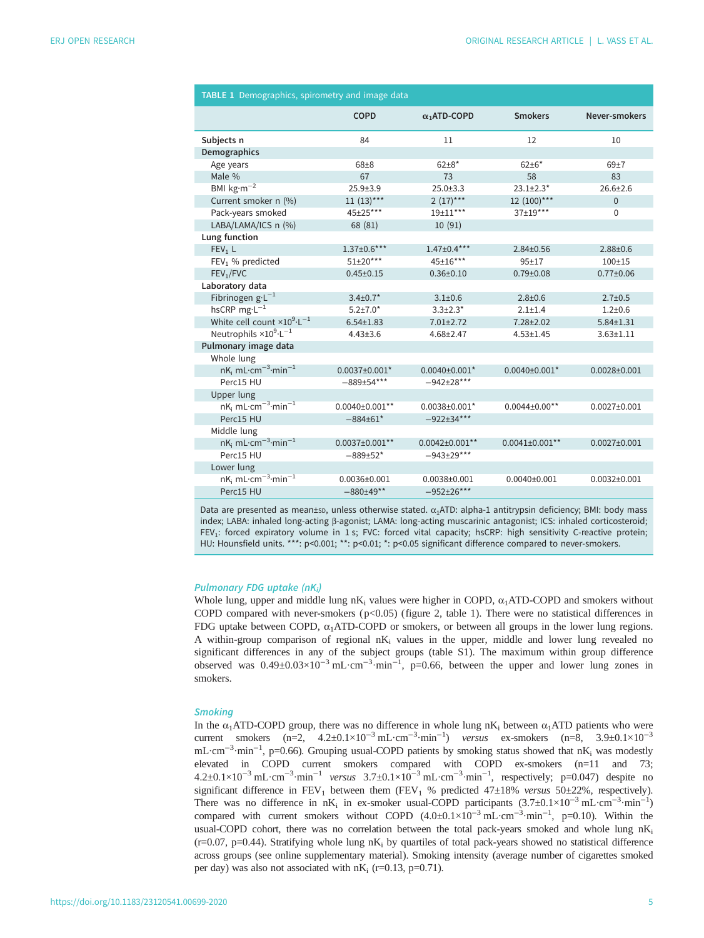<span id="page-4-0"></span>

| TABLE 1 Demographics, spirometry and image data              |                       |                     |                      |                    |  |  |  |  |  |
|--------------------------------------------------------------|-----------------------|---------------------|----------------------|--------------------|--|--|--|--|--|
|                                                              | <b>COPD</b>           | $\alpha_1$ ATD-COPD | <b>Smokers</b>       | Never-smokers      |  |  |  |  |  |
| Subjects n                                                   | 84                    | 11                  | 12                   | 10                 |  |  |  |  |  |
| <b>Demographics</b>                                          |                       |                     |                      |                    |  |  |  |  |  |
| Age years                                                    | $68 + 8$              | $62+8*$             | $62 + 6*$            | $69+7$             |  |  |  |  |  |
| Male %                                                       | 67                    | 73                  | 58                   | 83                 |  |  |  |  |  |
| BMI $kg·m-2$                                                 | $25.9 + 3.9$          | $25.0 + 3.3$        | $23.1 \pm 2.3*$      | $26.6 + 2.6$       |  |  |  |  |  |
| Current smoker n (%)                                         | $11(13)***$           | $2(17)***$          | $12(100)***$         | $\Omega$           |  |  |  |  |  |
| Pack-years smoked                                            | 45+25***              | 19±11***            | $37+19***$           | $\Omega$           |  |  |  |  |  |
| LABA/LAMA/ICS n (%)                                          | 68 (81)               | 10(91)              |                      |                    |  |  |  |  |  |
| Lung function                                                |                       |                     |                      |                    |  |  |  |  |  |
| FEV <sub>1</sub> L                                           | $1.37 \pm 0.6***$     | $1.47 \pm 0.4***$   | $2.84 \pm 0.56$      | $2.88 + 0.6$       |  |  |  |  |  |
| FEV <sub>1</sub> % predicted                                 | $51\pm20***$          | 45±16***            | $95 + 17$            | $100 + 15$         |  |  |  |  |  |
| FEV <sub>1</sub> /FVC                                        | $0.45 \pm 0.15$       | $0.36 \pm 0.10$     | $0.79 + 0.08$        | $0.77 \pm 0.06$    |  |  |  |  |  |
| Laboratory data                                              |                       |                     |                      |                    |  |  |  |  |  |
| Fibrinogen $g \cdot L^{-1}$                                  | $3.4 \pm 0.7$ *       | $3.1 \pm 0.6$       | $2.8 + 0.6$          | $2.7 + 0.5$        |  |  |  |  |  |
| hsCRP $mg L^{-1}$                                            | $5.2 \pm 7.0*$        | $3.3 + 2.3*$        | $2.1 + 1.4$          | $1.2 + 0.6$        |  |  |  |  |  |
| White cell count $\times 10^9 \cdot L^{-1}$                  | $6.54 \pm 1.83$       | $7.01 \pm 2.72$     | 7.28±2.02            | $5.84 \pm 1.31$    |  |  |  |  |  |
| Neutrophils $\times 10^{9} \cdot L^{-1}$                     | $4.43{\pm}3.6$        | $4.68 \pm 2.47$     | $4.53 \pm 1.45$      | $3.63 \pm 1.11$    |  |  |  |  |  |
| Pulmonary image data                                         |                       |                     |                      |                    |  |  |  |  |  |
| Whole lung                                                   |                       |                     |                      |                    |  |  |  |  |  |
| $nK_i$ mL·cm <sup>-3</sup> ·min <sup>-1</sup>                | $0.0037 \pm 0.001$ *  | $0.0040\pm0.001*$   | $0.0040\pm0.001*$    | $0.0028 \pm 0.001$ |  |  |  |  |  |
| Perc15 HU                                                    | $-889+54***$          | $-942+28***$        |                      |                    |  |  |  |  |  |
| Upper lung                                                   |                       |                     |                      |                    |  |  |  |  |  |
| $nK_i$ mL·cm <sup>-3</sup> ·min <sup>-1</sup>                | $0.0040\pm0.001**$    | $0.0038 \pm 0.001*$ | $0.0044 \pm 0.00$ ** | $0.0027 \pm 0.001$ |  |  |  |  |  |
| Perc15 HU                                                    | $-884+61*$            | $-922+34***$        |                      |                    |  |  |  |  |  |
| Middle lung                                                  |                       |                     |                      |                    |  |  |  |  |  |
| $nK_i$ mL $\cdot$ cm <sup>-3</sup> $\cdot$ min <sup>-1</sup> | $0.0037 \pm 0.001$ ** | $0.0042\pm0.001**$  | $0.0041\pm0.001**$   | $0.0027 \pm 0.001$ |  |  |  |  |  |
| Perc15 HU                                                    | $-889+52*$            | $-943+29***$        |                      |                    |  |  |  |  |  |
| Lower lung                                                   |                       |                     |                      |                    |  |  |  |  |  |
| $nK_i$ mL·cm <sup>-3</sup> ·min <sup>-1</sup>                | $0.0036 \pm 0.001$    | $0.0038 \pm 0.001$  | $0.0040\pm0.001$     | $0.0032\pm0.001$   |  |  |  |  |  |
| Perc15 HU                                                    | $-880+49**$           | $-952 \pm 26$ ***   |                      |                    |  |  |  |  |  |

Data are presented as mean±sp, unless otherwise stated.  $\alpha_1$ ATD: alpha-1 antitrypsin deficiency; BMI: body mass index; LABA: inhaled long-acting β-agonist; LAMA: long-acting muscarinic antagonist; ICS: inhaled corticosteroid; FEV<sub>1</sub>: forced expiratory volume in 1 s; FVC: forced vital capacity; hsCRP: high sensitivity C-reactive protein; HU: Hounsfield units. \*\*\*: p<0.001; \*\*: p<0.01; \*: p<0.05 significant difference compared to never-smokers.

## Pulmonary FDG uptake (nK<sub>i</sub>)

Whole lung, upper and middle lung nK<sub>i</sub> values were higher in COPD,  $\alpha_1$ ATD-COPD and smokers without COPD compared with never-smokers ( $p$ <0.05) ([figure 2,](#page-5-0) table 1). There were no statistical differences in FDG uptake between COPD,  $\alpha_1$ ATD-COPD or smokers, or between all groups in the lower lung regions. A within-group comparison of regional  $nK_i$  values in the upper, middle and lower lung revealed no significant differences in any of the subject groups ([table S1\)](http://openres.ersjournals.com/lookup/doi/10.1183/23120541.00699-2020.figures-only#fig-data-supplementary-materials). The maximum within group difference observed was  $0.49\pm0.03\times10^{-3}$  mL·cm<sup>-3</sup>·min<sup>-1</sup>, p=0.66, between the upper and lower lung zones in smokers.

## **Smoking**

In the  $\alpha_1$ ATD-COPD group, there was no difference in whole lung nK<sub>i</sub> between  $\alpha_1$ ATD patients who were current smokers (n=2,  $4.2\pm0.1\times10^{-3}$   $\mathrm{mL\cdot cm^{-3}\cdot min^{-1}}$ ) versus ex-smokers (n=8,  $3.9\pm0.1\times10^{-3}$ mL·cm<sup>-3</sup>·min<sup>-1</sup>, p=0.66). Grouping usual-COPD patients by smoking status showed that nK<sub>i</sub> was modestly elevated in COPD current smokers compared with COPD ex-smokers (n=11 and 73; 4.2±0.1×10<sup>-3</sup> mL·cm<sup>-3</sup>·min<sup>-1</sup> versus 3.7±0.1×10<sup>-3</sup> mL·cm<sup>-3</sup>·min<sup>-1</sup>, respectively; p=0.047) despite no significant difference in  $FEV_1$  between them ( $FEV_1$  % predicted 47±18% versus 50±22%, respectively). There was no difference in  $nK_i$  in ex-smoker usual-COPD participants  $(3.7\pm0.1\times10^{-3} \text{ mL}\cdot\text{cm}^{-3}\cdot\text{min}^{-1})$ compared with current smokers without COPD  $(4.0\pm0.1\times10^{-3} \text{ mL}\cdot\text{cm}^{-3}\cdot\text{min}^{-1}$ , p=0.10). Within the usual-COPD cohort, there was no correlation between the total pack-years smoked and whole lung  $nK_i$  $(r=0.07, p=0.44)$ . Stratifying whole lung nK<sub>i</sub> by quartiles of total pack-years showed no statistical difference across groups (see [online supplementary material](http://openres.ersjournals.com/lookup/doi/10.1183/23120541.00699-2020.figures-only#fig-data-supplementary-materials)). Smoking intensity (average number of cigarettes smoked per day) was also not associated with  $nK_i$  (r=0.13, p=0.71).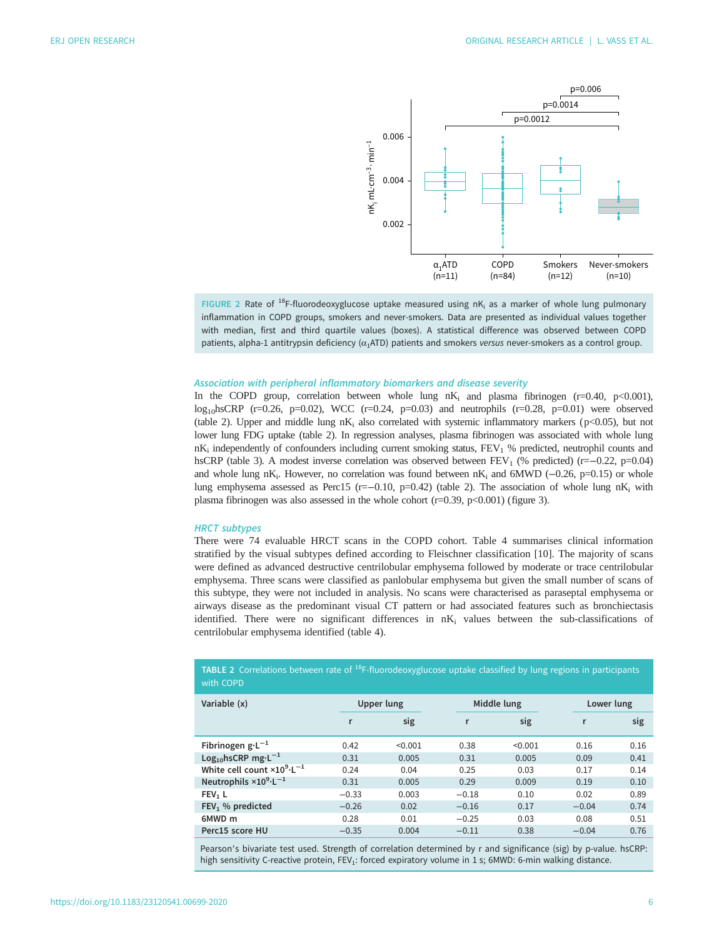<span id="page-5-0"></span>

FIGURE 2 Rate of <sup>18</sup>F-fluorodeoxyglucose uptake measured using nK<sub>i</sub> as a marker of whole lung pulmonary inflammation in COPD groups, smokers and never-smokers. Data are presented as individual values together with median, first and third quartile values (boxes). A statistical difference was observed between COPD patients, alpha-1 antitrypsin deficiency ( $\alpha_1$ ATD) patients and smokers versus never-smokers as a control group.

#### Association with peripheral inflammatory biomarkers and disease severity

In the COPD group, correlation between whole lung  $nK_i$  and plasma fibrinogen (r=0.40, p<0.001),  $log_{10}$ hsCRP (r=0.26, p=0.02), WCC (r=0.24, p=0.03) and neutrophils (r=0.28, p=0.01) were observed (table 2). Upper and middle lung  $nK_i$  also correlated with systemic inflammatory markers ( $p$ <0.05), but not lower lung FDG uptake (table 2). In regression analyses, plasma fibrinogen was associated with whole lung  $nK_i$  independently of confounders including current smoking status,  $FEV_1$  % predicted, neutrophil counts and hsCRP ([table 3\)](#page-6-0). A modest inverse correlation was observed between FEV<sub>1</sub> (% predicted) (r=−0.22, p=0.04) and whole lung nK<sub>i</sub>. However, no correlation was found between nK<sub>i</sub> and 6MWD ( $-0.26$ , p=0.15) or whole lung emphysema assessed as Perc15 (r=−0.10, p=0.42) (table 2). The association of whole lung nK<sub>i</sub> with plasma fibrinogen was also assessed in the whole cohort (r=0.39, p<0.001) [\(figure 3](#page-6-0)).

#### HRCT subtypes

There were 74 evaluable HRCT scans in the COPD cohort. [Table 4](#page-7-0) summarises clinical information stratified by the visual subtypes defined according to Fleischner classification [\[10](#page-11-0)]. The majority of scans were defined as advanced destructive centrilobular emphysema followed by moderate or trace centrilobular emphysema. Three scans were classified as panlobular emphysema but given the small number of scans of this subtype, they were not included in analysis. No scans were characterised as paraseptal emphysema or airways disease as the predominant visual CT pattern or had associated features such as bronchiectasis identified. There were no significant differences in  $nK_i$  values between the sub-classifications of centrilobular emphysema identified [\(table 4\)](#page-7-0).

**TABLE 2** Correlations between rate of  $^{18}$ F-fluorodeoxyglucose uptake classified by lung regions in participants with COPD Variable (x) **Variable (x)** Upper lung Middle lung Lower lung r sig r sig r sig Fibrinogen g·L<sup>−1</sup> 0.42 <0.001 0.38 <0.001 0.16 0.16<br>
Log<sub>1o</sub>hsCRP mg·L<sup>−1</sup> 0.31 0.005 0.31 0.005 0.09 0.41  $Log_{10}$ hsCRP mg·L<sup>-1</sup> 0.31 0.005 0.31 0.005 0.09 0.41<br>White cell count ×10<sup>9</sup>·L<sup>-1</sup> 0.24 0.04 0.25 0.03 0.17 0.14 White cell count  $\times 10^{9} \cdot L^{-1}$  $\cdot$ L<sup>-1</sup> 0.24 0.04 0.25 0.03 0.17 0.14 Neutrophils  $\times 10^{9} \cdot L^{-1}$  $\cdot$ L<sup>-1</sup> 0.31 0.005 0.29 0.009 0.19 0.10 **FEV<sub>1</sub> L**  $\qquad -0.33$  0.003  $-0.18$  0.10 0.02 0.89 FEV1 % predicted −0.26 0.02 −0.16 0.17 −0.04 0.74 6MWD m 0.28 0.01 −0.25 0.03 0.08 0.51

Perc15 score HU −0.35 0.004 −0.11 0.38 −0.04 0.76 Pearson's bivariate test used. Strength of correlation determined by r and significance (sig) by p-value. hsCRP: high sensitivity C-reactive protein, FEV<sub>1</sub>: forced expiratory volume in 1 s; 6MWD: 6-min walking distance.

https://doi.org/10.1183/23120541.00699-2020 6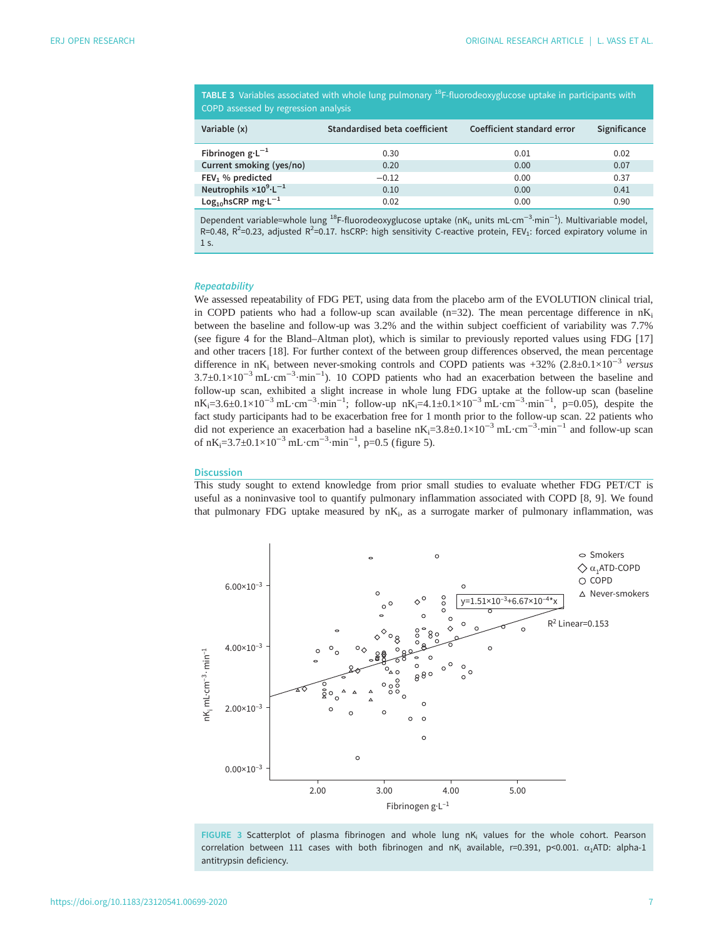<span id="page-6-0"></span>TABLE 3 Variables associated with whole lung pulmonary <sup>18</sup>F-fluorodeoxyglucose uptake in participants with COPD assessed by regression analysis

| Variable (x)                             | Standardised beta coefficient | Coefficient standard error | Significance |
|------------------------------------------|-------------------------------|----------------------------|--------------|
| Fibrinogen $g \cdot L^{-1}$              | 0.30                          | 0.01                       | 0.02         |
| Current smoking (yes/no)                 | 0.20                          | 0.00                       | 0.07         |
| $FEV1$ % predicted                       | $-0.12$                       | 0.00                       | 0.37         |
| Neutrophils $\times 10^{9} \cdot L^{-1}$ | 0.10                          | 0.00                       | 0.41         |
| Log <sub>10</sub> hsCRP mg· $L^{-1}$     | 0.02                          | 0.00                       | 0.90         |

Dependent variable=whole lung <sup>18</sup>F-fluorodeoxyglucose uptake (nK<sub>i</sub>, units mL·cm<sup>-3</sup>·min<sup>-1</sup>). Multivariable model,  $R=0.48$ ,  $R^2=0.23$ , adjusted  $R^2=0.17$ . hsCRP: high sensitivity C-reactive protein, FEV<sub>1</sub>: forced expiratory volume in 1 s.

#### **Repeatability**

We assessed repeatability of FDG PET, using data from the placebo arm of the EVOLUTION clinical trial, in COPD patients who had a follow-up scan available ( $n=32$ ). The mean percentage difference in  $nK_i$ between the baseline and follow-up was 3.2% and the within subject coefficient of variability was 7.7% (see [figure 4](#page-7-0) for the Bland–Altman plot), which is similar to previously reported values using FDG [[17\]](#page-11-0) and other tracers [[18\]](#page-11-0). For further context of the between group differences observed, the mean percentage difference in nK<sub>i</sub> between never-smoking controls and COPD patients was +32% (2.8±0.1×10<sup>-3</sup> versus 3.7±0.1×10<sup>-3</sup> mL·cm<sup>-3</sup>·min<sup>-1</sup>). 10 COPD patients who had an exacerbation between the baseline and follow-up scan, exhibited a slight increase in whole lung FDG uptake at the follow-up scan (baseline nK<sub>i</sub>=3.6±0.1×10<sup>-3</sup> mL·cm<sup>-3</sup>·min<sup>-1</sup>; follow-up nK<sub>i</sub>=4.1±0.1×10<sup>-3</sup> mL·cm<sup>-3</sup>·min<sup>-1</sup>, p=0.05), despite the fact study participants had to be exacerbation free for 1 month prior to the follow-up scan. 22 patients who did not experience an exacerbation had a baseline nK<sub>i</sub>=3.8±0.1×10<sup>-3</sup> mL·cm<sup>-3</sup>·min<sup>-1</sup> and follow-up scan of nK<sub>i</sub>=3.7±0.1×10<sup>-3</sup> mL·cm<sup>-3</sup>·min<sup>-1</sup>, p=0.5 [\(figure 5](#page-8-0)).

## **Discussion**

This study sought to extend knowledge from prior small studies to evaluate whether FDG PET/CT is useful as a noninvasive tool to quantify pulmonary inflammation associated with COPD [\[8, 9](#page-11-0)]. We found that pulmonary FDG uptake measured by  $nK_i$ , as a surrogate marker of pulmonary inflammation, was



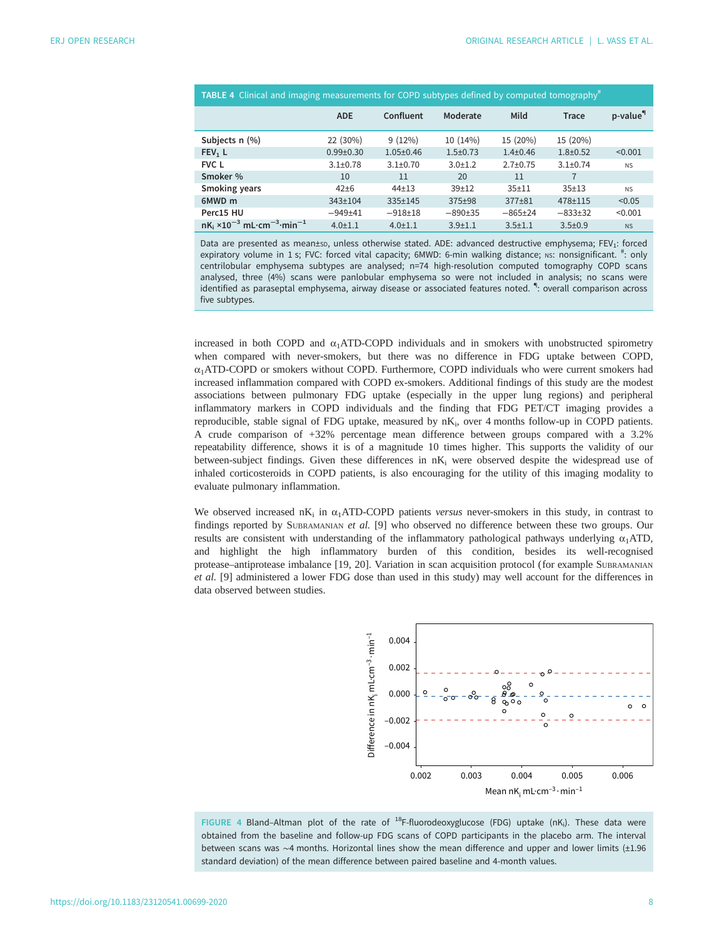<span id="page-7-0"></span>

| <b>TABLE 4</b> Clinical and imaging measurements for COPD subtypes defined by computed tomography <sup>#</sup> |               |                 |              |                |               |                      |  |  |
|----------------------------------------------------------------------------------------------------------------|---------------|-----------------|--------------|----------------|---------------|----------------------|--|--|
|                                                                                                                | <b>ADE</b>    | Confluent       | Moderate     | Mild           | Trace         | p-value <sup>"</sup> |  |  |
| Subjects n (%)                                                                                                 | 22 (30%)      | 9(12%)          | 10 (14%)     | 15 (20%)       | 15 (20%)      |                      |  |  |
| FEV <sub>1</sub> L                                                                                             | $0.99 + 0.30$ | $1.05 \pm 0.46$ | $1.5 + 0.73$ | $1.4 \pm 0.46$ | $1.8 + 0.52$  | < 0.001              |  |  |
| <b>FVC L</b>                                                                                                   | $3.1 + 0.78$  | $3.1 + 0.70$    | $3.0 + 1.2$  | $2.7 + 0.75$   | $3.1 + 0.74$  | N <sub>S</sub>       |  |  |
| Smoker %                                                                                                       | 10            | 11              | 20           | 11             | 7             |                      |  |  |
| <b>Smoking years</b>                                                                                           | $42 + 6$      | $44 + 13$       | $39+12$      | $35+11$        | $35+13$       | N <sub>S</sub>       |  |  |
| 6MWD m                                                                                                         | $343 + 104$   | $335+145$       | $375 + 98$   | $377 + 81$     | $478 + 115$   | < 0.05               |  |  |
| Perc15 HU                                                                                                      | $-949+41$     | $-918+18$       | $-890+35$    | $-865+24$      | $-833+32$     | < 0.001              |  |  |
| $nK_i$ ×10 <sup>-3</sup> mL·cm <sup>-3</sup> ·min <sup>-1</sup>                                                | $4.0 + 1.1$   | $4.0 + 1.1$     | $3.9 + 1.1$  | $3.5 + 1.1$    | $3.5 \pm 0.9$ | N <sub>S</sub>       |  |  |

Data are presented as mean±sp, unless otherwise stated. ADE: advanced destructive emphysema; FEV<sub>1</sub>: forced expiratory volume in 1 s; FVC: forced vital capacity; 6MWD: 6-min walking distance; Ns: nonsignificant. <sup>#</sup>: only centrilobular emphysema subtypes are analysed; n=74 high-resolution computed tomography COPD scans analysed, three (4%) scans were panlobular emphysema so were not included in analysis; no scans were identified as paraseptal emphysema, airway disease or associated features noted. <sup>4</sup>: overall comparison across five subtypes.

increased in both COPD and  $\alpha_1$ ATD-COPD individuals and in smokers with unobstructed spirometry when compared with never-smokers, but there was no difference in FDG uptake between COPD,  $\alpha_1$ ATD-COPD or smokers without COPD. Furthermore, COPD individuals who were current smokers had increased inflammation compared with COPD ex-smokers. Additional findings of this study are the modest associations between pulmonary FDG uptake (especially in the upper lung regions) and peripheral inflammatory markers in COPD individuals and the finding that FDG PET/CT imaging provides a reproducible, stable signal of FDG uptake, measured by  $nK_i$ , over 4 months follow-up in COPD patients. A crude comparison of +32% percentage mean difference between groups compared with a 3.2% repeatability difference, shows it is of a magnitude 10 times higher. This supports the validity of our between-subject findings. Given these differences in  $nK<sub>i</sub>$  were observed despite the widespread use of inhaled corticosteroids in COPD patients, is also encouraging for the utility of this imaging modality to evaluate pulmonary inflammation.

We observed increased nK<sub>i</sub> in  $\alpha_1$ ATD-COPD patients versus never-smokers in this study, in contrast to findings reported by SUBRAMANIAN et al. [[9](#page-11-0)] who observed no difference between these two groups. Our results are consistent with understanding of the inflammatory pathological pathways underlying  $\alpha_1$ ATD, and highlight the high inflammatory burden of this condition, besides its well-recognised protease–antiprotease imbalance [\[19](#page-11-0), [20](#page-11-0)]. Variation in scan acquisition protocol (for example SUBRAMANIAN et al. [\[9\]](#page-11-0) administered a lower FDG dose than used in this study) may well account for the differences in data observed between studies.



FIGURE 4 Bland-Altman plot of the rate of  $^{18}$ F-fluorodeoxyglucose (FDG) uptake (nK<sub>i</sub>). These data were obtained from the baseline and follow-up FDG scans of COPD participants in the placebo arm. The interval between scans was ∼4 months. Horizontal lines show the mean difference and upper and lower limits (±1.96 standard deviation) of the mean difference between paired baseline and 4-month values.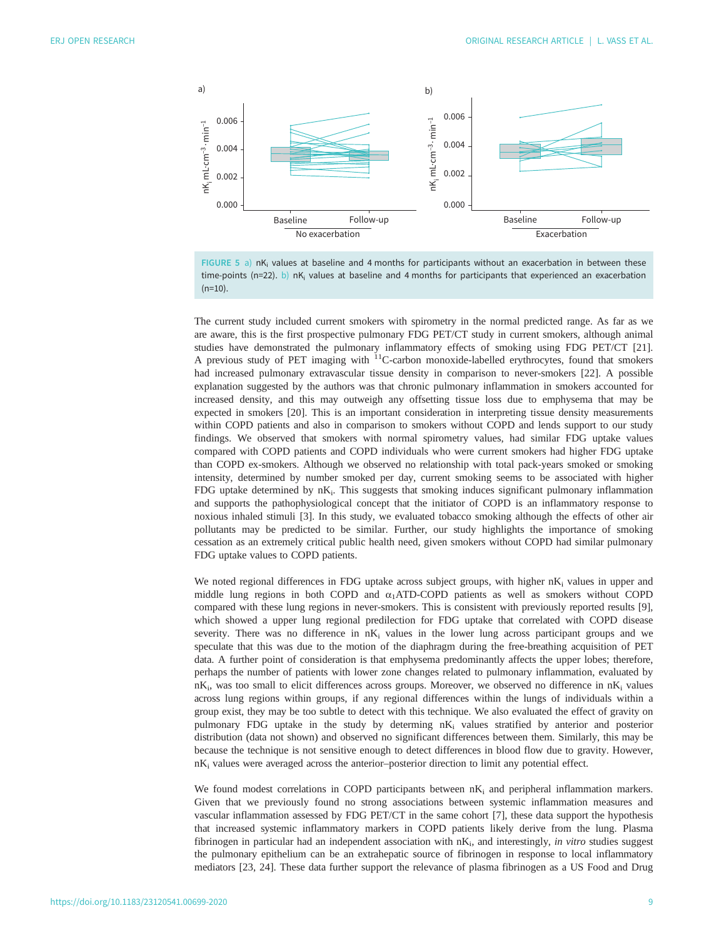<span id="page-8-0"></span>

FIGURE 5 a) nK<sub>i</sub> values at baseline and 4 months for participants without an exacerbation in between these time-points (n=22). b) nK<sub>i</sub> values at baseline and 4 months for participants that experienced an exacerbation  $(n=10)$ .

The current study included current smokers with spirometry in the normal predicted range. As far as we are aware, this is the first prospective pulmonary FDG PET/CT study in current smokers, although animal studies have demonstrated the pulmonary inflammatory effects of smoking using FDG PET/CT [[21\]](#page-11-0). A previous study of PET imaging with  $^{11}$ C-carbon monoxide-labelled erythrocytes, found that smokers had increased pulmonary extravascular tissue density in comparison to never-smokers [\[22](#page-11-0)]. A possible explanation suggested by the authors was that chronic pulmonary inflammation in smokers accounted for increased density, and this may outweigh any offsetting tissue loss due to emphysema that may be expected in smokers [[20\]](#page-11-0). This is an important consideration in interpreting tissue density measurements within COPD patients and also in comparison to smokers without COPD and lends support to our study findings. We observed that smokers with normal spirometry values, had similar FDG uptake values compared with COPD patients and COPD individuals who were current smokers had higher FDG uptake than COPD ex-smokers. Although we observed no relationship with total pack-years smoked or smoking intensity, determined by number smoked per day, current smoking seems to be associated with higher FDG uptake determined by  $nK_i$ . This suggests that smoking induces significant pulmonary inflammation and supports the pathophysiological concept that the initiator of COPD is an inflammatory response to noxious inhaled stimuli [[3](#page-10-0)]. In this study, we evaluated tobacco smoking although the effects of other air pollutants may be predicted to be similar. Further, our study highlights the importance of smoking cessation as an extremely critical public health need, given smokers without COPD had similar pulmonary FDG uptake values to COPD patients.

We noted regional differences in FDG uptake across subject groups, with higher  $nK_i$  values in upper and middle lung regions in both COPD and  $\alpha_1$ ATD-COPD patients as well as smokers without COPD compared with these lung regions in never-smokers. This is consistent with previously reported results [\[9\]](#page-11-0), which showed a upper lung regional predilection for FDG uptake that correlated with COPD disease severity. There was no difference in  $nK_i$  values in the lower lung across participant groups and we speculate that this was due to the motion of the diaphragm during the free-breathing acquisition of PET data. A further point of consideration is that emphysema predominantly affects the upper lobes; therefore, perhaps the number of patients with lower zone changes related to pulmonary inflammation, evaluated by  $nK_i$ , was too small to elicit differences across groups. Moreover, we observed no difference in  $nK_i$  values across lung regions within groups, if any regional differences within the lungs of individuals within a group exist, they may be too subtle to detect with this technique. We also evaluated the effect of gravity on pulmonary FDG uptake in the study by determing nK<sub>i</sub> values stratified by anterior and posterior distribution (data not shown) and observed no significant differences between them. Similarly, this may be because the technique is not sensitive enough to detect differences in blood flow due to gravity. However, nK<sub>i</sub> values were averaged across the anterior-posterior direction to limit any potential effect.

We found modest correlations in COPD participants between  $nK_i$  and peripheral inflammation markers. Given that we previously found no strong associations between systemic inflammation measures and vascular inflammation assessed by FDG PET/CT in the same cohort [[7](#page-11-0)], these data support the hypothesis that increased systemic inflammatory markers in COPD patients likely derive from the lung. Plasma fibrinogen in particular had an independent association with  $nK_i$ , and interestingly, in vitro studies suggest the pulmonary epithelium can be an extrahepatic source of fibrinogen in response to local inflammatory mediators [\[23](#page-11-0), [24\]](#page-11-0). These data further support the relevance of plasma fibrinogen as a US Food and Drug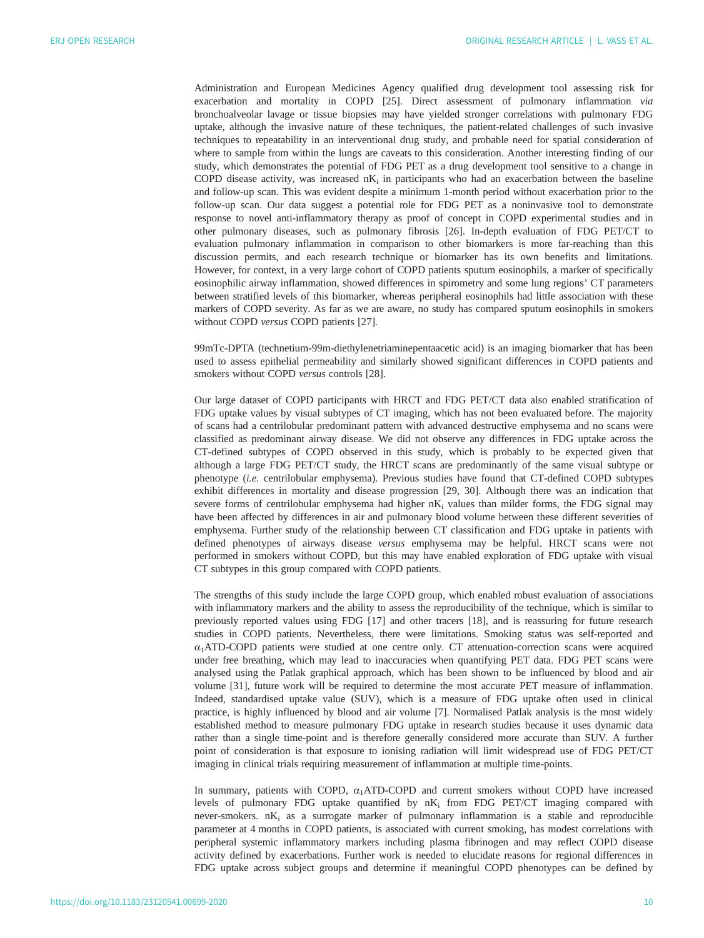Administration and European Medicines Agency qualified drug development tool assessing risk for exacerbation and mortality in COPD [[25\]](#page-11-0). Direct assessment of pulmonary inflammation via bronchoalveolar lavage or tissue biopsies may have yielded stronger correlations with pulmonary FDG uptake, although the invasive nature of these techniques, the patient-related challenges of such invasive techniques to repeatability in an interventional drug study, and probable need for spatial consideration of where to sample from within the lungs are caveats to this consideration. Another interesting finding of our study, which demonstrates the potential of FDG PET as a drug development tool sensitive to a change in COPD disease activity, was increased  $nK_i$  in participants who had an exacerbation between the baseline and follow-up scan. This was evident despite a minimum 1-month period without exacerbation prior to the follow-up scan. Our data suggest a potential role for FDG PET as a noninvasive tool to demonstrate response to novel anti-inflammatory therapy as proof of concept in COPD experimental studies and in other pulmonary diseases, such as pulmonary fibrosis [[26\]](#page-11-0). In-depth evaluation of FDG PET/CT to evaluation pulmonary inflammation in comparison to other biomarkers is more far-reaching than this discussion permits, and each research technique or biomarker has its own benefits and limitations. However, for context, in a very large cohort of COPD patients sputum eosinophils, a marker of specifically eosinophilic airway inflammation, showed differences in spirometry and some lung regions' CT parameters between stratified levels of this biomarker, whereas peripheral eosinophils had little association with these markers of COPD severity. As far as we are aware, no study has compared sputum eosinophils in smokers without COPD versus COPD patients [[27\]](#page-11-0).

99mTc-DPTA (technetium-99m-diethylenetriaminepentaacetic acid) is an imaging biomarker that has been used to assess epithelial permeability and similarly showed significant differences in COPD patients and smokers without COPD versus controls [\[28](#page-11-0)].

Our large dataset of COPD participants with HRCT and FDG PET/CT data also enabled stratification of FDG uptake values by visual subtypes of CT imaging, which has not been evaluated before. The majority of scans had a centrilobular predominant pattern with advanced destructive emphysema and no scans were classified as predominant airway disease. We did not observe any differences in FDG uptake across the CT-defined subtypes of COPD observed in this study, which is probably to be expected given that although a large FDG PET/CT study, the HRCT scans are predominantly of the same visual subtype or phenotype (i.e. centrilobular emphysema). Previous studies have found that CT-defined COPD subtypes exhibit differences in mortality and disease progression [[29, 30](#page-11-0)]. Although there was an indication that severe forms of centrilobular emphysema had higher  $nK_i$  values than milder forms, the FDG signal may have been affected by differences in air and pulmonary blood volume between these different severities of emphysema. Further study of the relationship between CT classification and FDG uptake in patients with defined phenotypes of airways disease versus emphysema may be helpful. HRCT scans were not performed in smokers without COPD, but this may have enabled exploration of FDG uptake with visual CT subtypes in this group compared with COPD patients.

The strengths of this study include the large COPD group, which enabled robust evaluation of associations with inflammatory markers and the ability to assess the reproducibility of the technique, which is similar to previously reported values using FDG [\[17](#page-11-0)] and other tracers [\[18](#page-11-0)], and is reassuring for future research studies in COPD patients. Nevertheless, there were limitations. Smoking status was self-reported and  $\alpha_1$ ATD-COPD patients were studied at one centre only. CT attenuation-correction scans were acquired under free breathing, which may lead to inaccuracies when quantifying PET data. FDG PET scans were analysed using the Patlak graphical approach, which has been shown to be influenced by blood and air volume [\[31](#page-11-0)], future work will be required to determine the most accurate PET measure of inflammation. Indeed, standardised uptake value (SUV), which is a measure of FDG uptake often used in clinical practice, is highly influenced by blood and air volume [[7](#page-11-0)]. Normalised Patlak analysis is the most widely established method to measure pulmonary FDG uptake in research studies because it uses dynamic data rather than a single time-point and is therefore generally considered more accurate than SUV. A further point of consideration is that exposure to ionising radiation will limit widespread use of FDG PET/CT imaging in clinical trials requiring measurement of inflammation at multiple time-points.

In summary, patients with COPD,  $\alpha_1$ ATD-COPD and current smokers without COPD have increased levels of pulmonary FDG uptake quantified by  $nK_i$  from FDG PET/CT imaging compared with never-smokers.  $nK_i$  as a surrogate marker of pulmonary inflammation is a stable and reproducible parameter at 4 months in COPD patients, is associated with current smoking, has modest correlations with peripheral systemic inflammatory markers including plasma fibrinogen and may reflect COPD disease activity defined by exacerbations. Further work is needed to elucidate reasons for regional differences in FDG uptake across subject groups and determine if meaningful COPD phenotypes can be defined by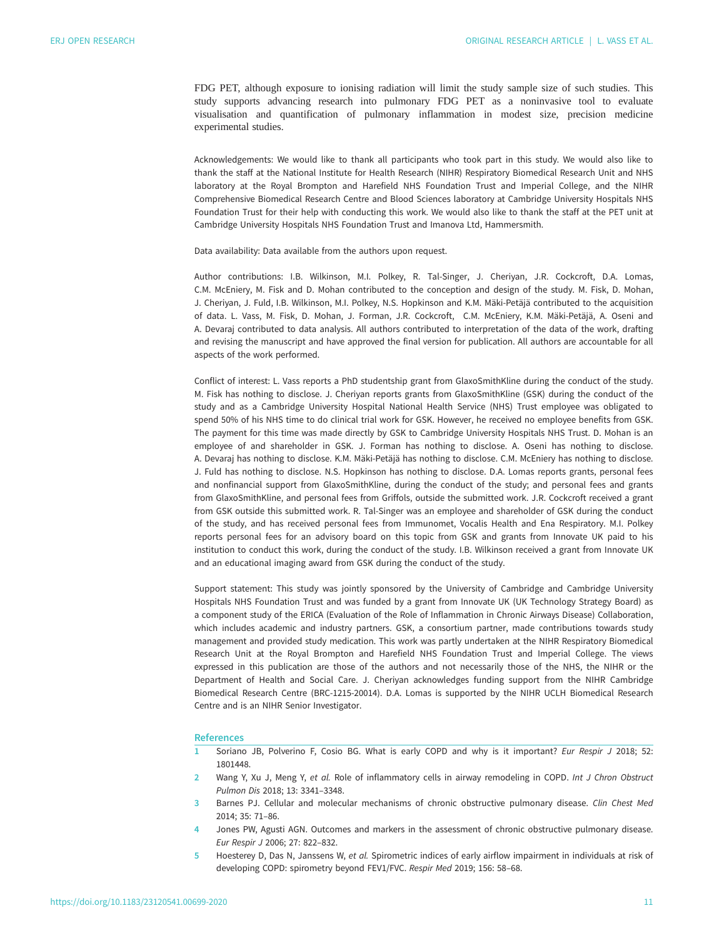<span id="page-10-0"></span>FDG PET, although exposure to ionising radiation will limit the study sample size of such studies. This study supports advancing research into pulmonary FDG PET as a noninvasive tool to evaluate visualisation and quantification of pulmonary inflammation in modest size, precision medicine experimental studies.

Acknowledgements: We would like to thank all participants who took part in this study. We would also like to thank the staff at the National Institute for Health Research (NIHR) Respiratory Biomedical Research Unit and NHS laboratory at the Royal Brompton and Harefield NHS Foundation Trust and Imperial College, and the NIHR Comprehensive Biomedical Research Centre and Blood Sciences laboratory at Cambridge University Hospitals NHS Foundation Trust for their help with conducting this work. We would also like to thank the staff at the PET unit at Cambridge University Hospitals NHS Foundation Trust and Imanova Ltd, Hammersmith.

Data availability: Data available from the authors upon request.

Author contributions: I.B. Wilkinson, M.I. Polkey, R. Tal-Singer, J. Cheriyan, J.R. Cockcroft, D.A. Lomas, C.M. McEniery, M. Fisk and D. Mohan contributed to the conception and design of the study. M. Fisk, D. Mohan, J. Cheriyan, J. Fuld, I.B. Wilkinson, M.I. Polkey, N.S. Hopkinson and K.M. Mäki-Petäjä contributed to the acquisition of data. L. Vass, M. Fisk, D. Mohan, J. Forman, J.R. Cockcroft, C.M. McEniery, K.M. Mäki-Petäjä, A. Oseni and A. Devaraj contributed to data analysis. All authors contributed to interpretation of the data of the work, drafting and revising the manuscript and have approved the final version for publication. All authors are accountable for all aspects of the work performed.

Conflict of interest: L. Vass reports a PhD studentship grant from GlaxoSmithKline during the conduct of the study. M. Fisk has nothing to disclose. J. Cheriyan reports grants from GlaxoSmithKline (GSK) during the conduct of the study and as a Cambridge University Hospital National Health Service (NHS) Trust employee was obligated to spend 50% of his NHS time to do clinical trial work for GSK. However, he received no employee benefits from GSK. The payment for this time was made directly by GSK to Cambridge University Hospitals NHS Trust. D. Mohan is an employee of and shareholder in GSK. J. Forman has nothing to disclose. A. Oseni has nothing to disclose. A. Devaraj has nothing to disclose. K.M. Mäki-Petäjä has nothing to disclose. C.M. McEniery has nothing to disclose. J. Fuld has nothing to disclose. N.S. Hopkinson has nothing to disclose. D.A. Lomas reports grants, personal fees and nonfinancial support from GlaxoSmithKline, during the conduct of the study; and personal fees and grants from GlaxoSmithKline, and personal fees from Griffols, outside the submitted work. J.R. Cockcroft received a grant from GSK outside this submitted work. R. Tal-Singer was an employee and shareholder of GSK during the conduct of the study, and has received personal fees from Immunomet, Vocalis Health and Ena Respiratory. M.I. Polkey reports personal fees for an advisory board on this topic from GSK and grants from Innovate UK paid to his institution to conduct this work, during the conduct of the study. I.B. Wilkinson received a grant from Innovate UK and an educational imaging award from GSK during the conduct of the study.

Support statement: This study was jointly sponsored by the University of Cambridge and Cambridge University Hospitals NHS Foundation Trust and was funded by a grant from Innovate UK (UK Technology Strategy Board) as a component study of the ERICA (Evaluation of the Role of Inflammation in Chronic Airways Disease) Collaboration, which includes academic and industry partners. GSK, a consortium partner, made contributions towards study management and provided study medication. This work was partly undertaken at the NIHR Respiratory Biomedical Research Unit at the Royal Brompton and Harefield NHS Foundation Trust and Imperial College. The views expressed in this publication are those of the authors and not necessarily those of the NHS, the NIHR or the Department of Health and Social Care. J. Cheriyan acknowledges funding support from the NIHR Cambridge Biomedical Research Centre (BRC-1215-20014). D.A. Lomas is supported by the NIHR UCLH Biomedical Research Centre and is an NIHR Senior Investigator.

#### **References**

- 1 Soriano JB, Polverino F, Cosio BG. What is early COPD and why is it important? Eur Respir J 2018; 52: 1801448.
- 2 Wang Y, Xu J, Meng Y, et al. Role of inflammatory cells in airway remodeling in COPD. Int J Chron Obstruct Pulmon Dis 2018; 13: 3341–3348.
- 3 Barnes PJ. Cellular and molecular mechanisms of chronic obstructive pulmonary disease. Clin Chest Med 2014; 35: 71–86.
- 4 Jones PW, Agusti AGN. Outcomes and markers in the assessment of chronic obstructive pulmonary disease. Eur Respir J 2006; 27: 822–832.
- 5 Hoesterey D, Das N, Janssens W, et al. Spirometric indices of early airflow impairment in individuals at risk of developing COPD: spirometry beyond FEV1/FVC. Respir Med 2019; 156: 58–68.